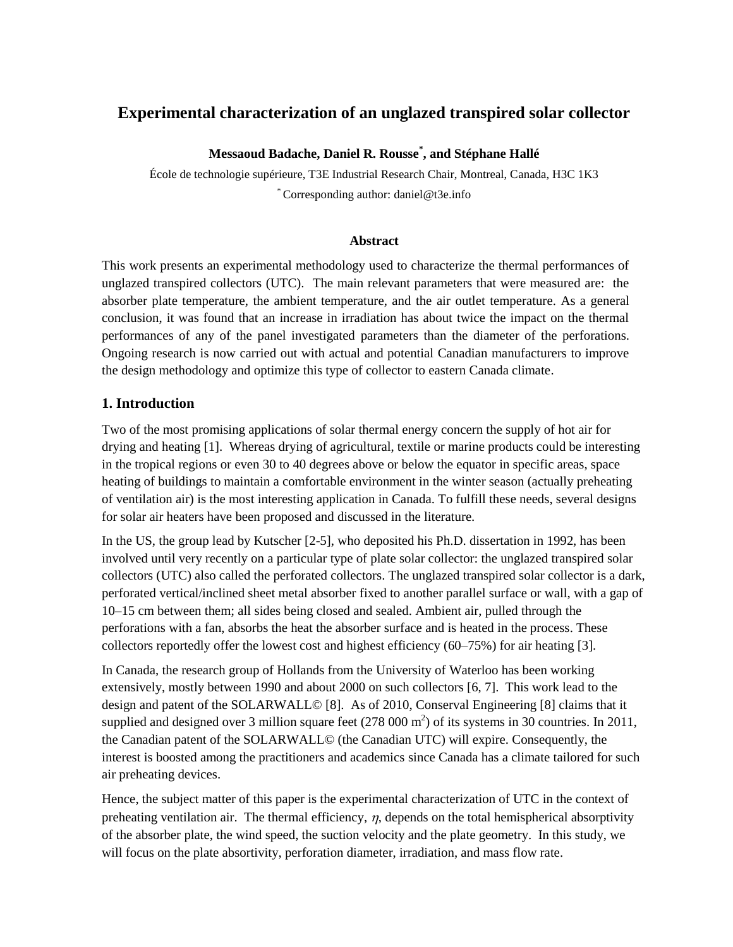# **Experimental characterization of an unglazed transpired solar collector**

**Messaoud Badache, Daniel R. Rousse\* , and Stéphane Hallé**

École de technologie supérieure, T3E Industrial Research Chair, Montreal, Canada, H3C 1K3 \* Corresponding author: daniel@t3e.info

# **Abstract**

This work presents an experimental methodology used to characterize the thermal performances of unglazed transpired collectors (UTC). The main relevant parameters that were measured are: the absorber plate temperature, the ambient temperature, and the air outlet temperature. As a general conclusion, it was found that an increase in irradiation has about twice the impact on the thermal performances of any of the panel investigated parameters than the diameter of the perforations. Ongoing research is now carried out with actual and potential Canadian manufacturers to improve the design methodology and optimize this type of collector to eastern Canada climate.

# **1. Introduction**

Two of the most promising applications of solar thermal energy concern the supply of hot air for drying and heating [1]. Whereas drying of agricultural, textile or marine products could be interesting in the tropical regions or even 30 to 40 degrees above or below the equator in specific areas, space heating of buildings to maintain a comfortable environment in the winter season (actually preheating of ventilation air) is the most interesting application in Canada. To fulfill these needs, several designs for solar air heaters have been proposed and discussed in the literature.

In the US, the group lead by Kutscher [2-5], who deposited his Ph.D. dissertation in 1992, has been involved until very recently on a particular type of plate solar collector: the unglazed transpired solar collectors (UTC) also called the perforated collectors. The unglazed transpired solar collector is a dark, perforated vertical/inclined sheet metal absorber fixed to another parallel surface or wall, with a gap of 10–15 cm between them; all sides being closed and sealed. Ambient air, pulled through the perforations with a fan, absorbs the heat the absorber surface and is heated in the process. These collectors reportedly offer the lowest cost and highest efficiency (60–75%) for air heating [3].

In Canada, the research group of Hollands from the University of Waterloo has been working extensively, mostly between 1990 and about 2000 on such collectors [6, 7]. This work lead to the design and patent of the SOLARWALL© [8]. As of 2010, Conserval Engineering [8] claims that it supplied and designed over 3 million square feet  $(278\,000\,\text{m}^2)$  of its systems in 30 countries. In 2011, the Canadian patent of the SOLARWALL© (the Canadian UTC) will expire. Consequently, the interest is boosted among the practitioners and academics since Canada has a climate tailored for such air preheating devices.

Hence, the subject matter of this paper is the experimental characterization of UTC in the context of preheating ventilation air. The thermal efficiency,  $\eta$ , depends on the total hemispherical absorptivity of the absorber plate, the wind speed, the suction velocity and the plate geometry. In this study, we will focus on the plate absortivity, perforation diameter, irradiation, and mass flow rate.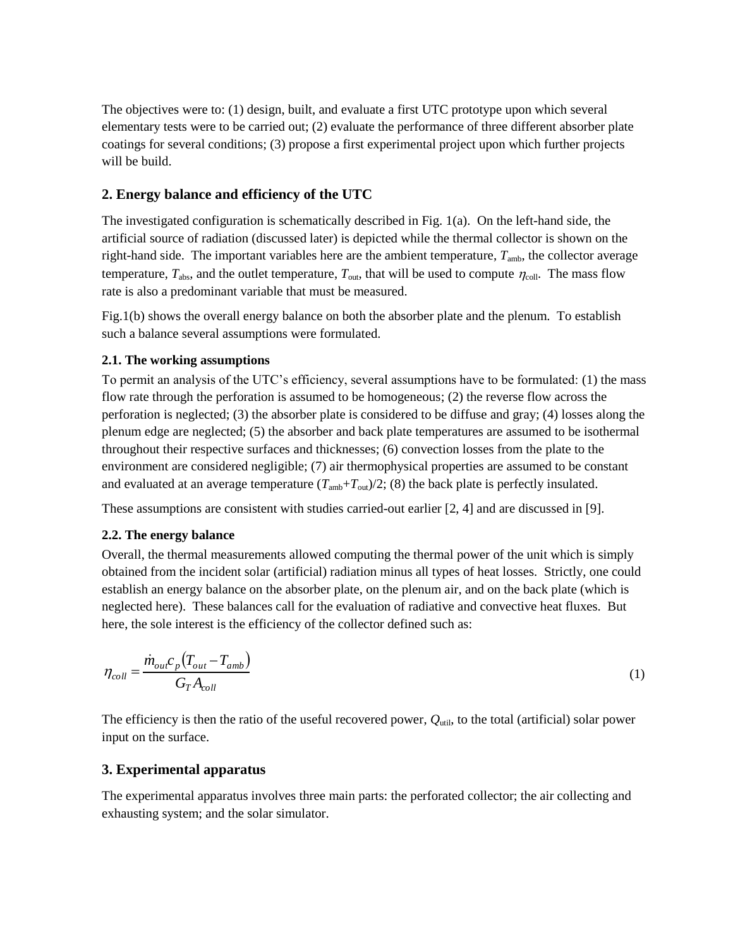The objectives were to: (1) design, built, and evaluate a first UTC prototype upon which several elementary tests were to be carried out; (2) evaluate the performance of three different absorber plate coatings for several conditions; (3) propose a first experimental project upon which further projects will be build.

# **2. Energy balance and efficiency of the UTC**

The investigated configuration is schematically described in Fig. 1(a). On the left-hand side, the artificial source of radiation (discussed later) is depicted while the thermal collector is shown on the right-hand side. The important variables here are the ambient temperature,  $T_{\text{amb}}$ , the collector average temperature,  $T_{\text{abs}}$ , and the outlet temperature,  $T_{\text{out}}$ , that will be used to compute  $\eta_{\text{coll}}$ . The mass flow rate is also a predominant variable that must be measured.

Fig.1(b) shows the overall energy balance on both the absorber plate and the plenum. To establish such a balance several assumptions were formulated.

#### **2.1. The working assumptions**

To permit an analysis of the UTC's efficiency, several assumptions have to be formulated: (1) the mass flow rate through the perforation is assumed to be homogeneous; (2) the reverse flow across the perforation is neglected; (3) the absorber plate is considered to be diffuse and gray; (4) losses along the plenum edge are neglected; (5) the absorber and back plate temperatures are assumed to be isothermal throughout their respective surfaces and thicknesses; (6) convection losses from the plate to the environment are considered negligible; (7) air thermophysical properties are assumed to be constant and evaluated at an average temperature  $(T_{amb}+T_{out})/2$ ; (8) the back plate is perfectly insulated.

These assumptions are consistent with studies carried-out earlier [2, 4] and are discussed in [9].

# **2.2. The energy balance**

Overall, the thermal measurements allowed computing the thermal power of the unit which is simply obtained from the incident solar (artificial) radiation minus all types of heat losses. Strictly, one could establish an energy balance on the absorber plate, on the plenum air, and on the back plate (which is neglected here). These balances call for the evaluation of radiative and convective heat fluxes. But here, the sole interest is the efficiency of the collector defined such as:

$$
\eta_{coll} = \frac{\dot{m}_{out}c_p \left( T_{out} - T_{amb} \right)}{G_T A_{coll}} \tag{1}
$$

The efficiency is then the ratio of the useful recovered power,  $Q_{\text{util}}$ , to the total (artificial) solar power input on the surface.

# **3. Experimental apparatus**

The experimental apparatus involves three main parts: the perforated collector; the air collecting and exhausting system; and the solar simulator.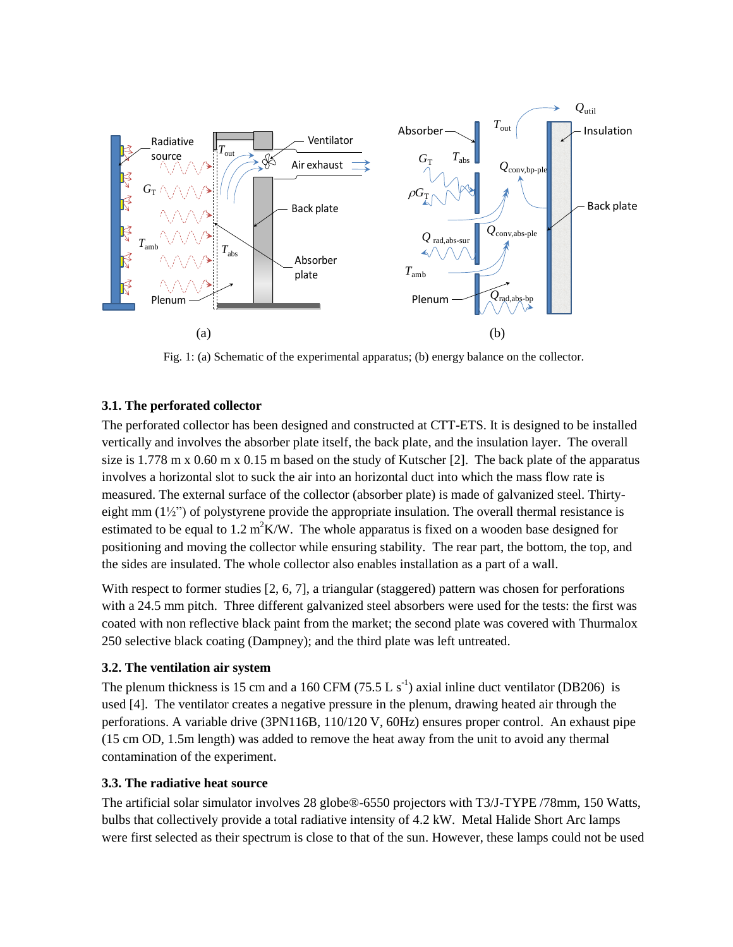

Fig. 1: (a) Schematic of the experimental apparatus; (b) energy balance on the collector.

# **3.1. The perforated collector**

The perforated collector has been designed and constructed at CTT-ETS. It is designed to be installed vertically and involves the absorber plate itself, the back plate, and the insulation layer. The overall size is 1.778 m x 0.60 m x 0.15 m based on the study of Kutscher [2]. The back plate of the apparatus involves a horizontal slot to suck the air into an horizontal duct into which the mass flow rate is measured. The external surface of the collector (absorber plate) is made of galvanized steel. Thirtyeight mm  $(1\frac{1}{2})$  of polystyrene provide the appropriate insulation. The overall thermal resistance is estimated to be equal to  $1.2 \text{ m}^2 \text{K/W}$ . The whole apparatus is fixed on a wooden base designed for positioning and moving the collector while ensuring stability. The rear part, the bottom, the top, and the sides are insulated. The whole collector also enables installation as a part of a wall.

With respect to former studies [2, 6, 7], a triangular (staggered) pattern was chosen for perforations with a 24.5 mm pitch. Three different galvanized steel absorbers were used for the tests: the first was coated with non reflective black paint from the market; the second plate was covered with Thurmalox 250 selective black coating (Dampney); and the third plate was left untreated.

# **3.2. The ventilation air system**

The plenum thickness is 15 cm and a 160 CFM (75.5 L  $s^{-1}$ ) axial inline duct ventilator (DB206) is used [4]. The ventilator creates a negative pressure in the plenum, drawing heated air through the perforations. A variable drive (3PN116B, 110/120 V, 60Hz) ensures proper control. An exhaust pipe (15 cm OD, 1.5m length) was added to remove the heat away from the unit to avoid any thermal contamination of the experiment.

# **3.3. The radiative heat source**

The artificial solar simulator involves 28 globe®-6550 projectors with T3/J-TYPE /78mm, 150 Watts, bulbs that collectively provide a total radiative intensity of 4.2 kW. Metal Halide Short Arc lamps were first selected as their spectrum is close to that of the sun. However, these lamps could not be used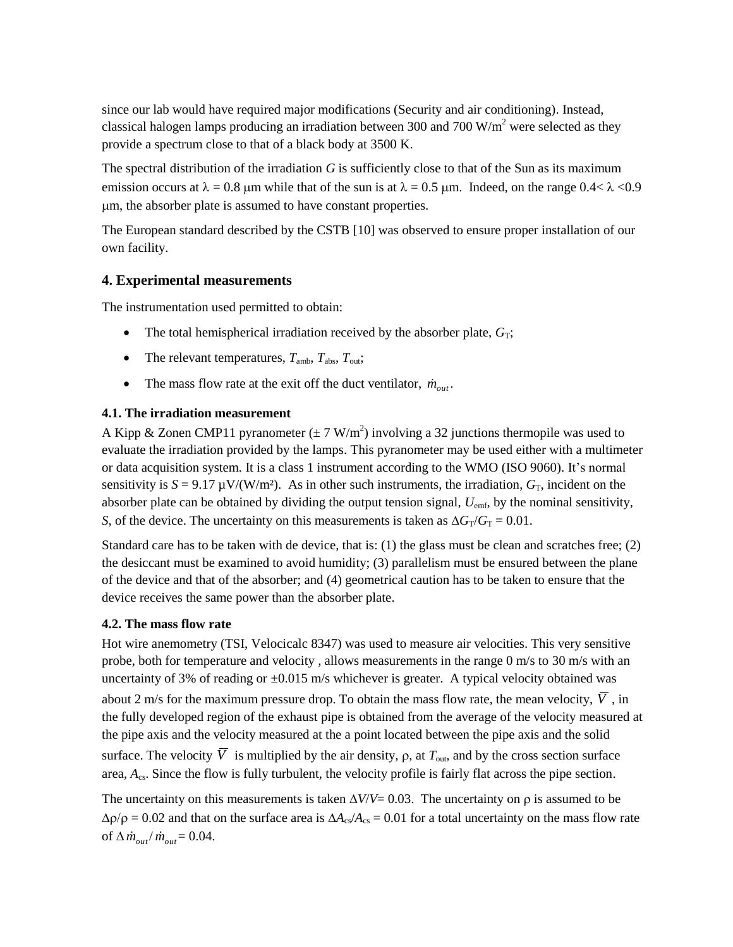since our lab would have required major modifications (Security and air conditioning). Instead, classical halogen lamps producing an irradiation between 300 and 700  $W/m<sup>2</sup>$  were selected as they provide a spectrum close to that of a black body at 3500 K.

The spectral distribution of the irradiation *G* is sufficiently close to that of the Sun as its maximum emission occurs at  $\lambda = 0.8$  µm while that of the sun is at  $\lambda = 0.5$  µm. Indeed, on the range 0.4<  $\lambda$  <0.9 m, the absorber plate is assumed to have constant properties.

The European standard described by the CSTB [10] was observed to ensure proper installation of our own facility.

# **4. Experimental measurements**

The instrumentation used permitted to obtain:

- The total hemispherical irradiation received by the absorber plate,  $G_T$ ;
- The relevant temperatures,  $T_{\text{amb}}$ ,  $T_{\text{abs}}$ ,  $T_{\text{out}}$ ;
- The mass flow rate at the exit off the duct ventilator,  $\dot{m}_{out}$ .

# **4.1. The irradiation measurement**

A Kipp & Zonen CMP11 pyranometer ( $\pm 7$  W/m<sup>2</sup>) involving a 32 junctions thermopile was used to evaluate the irradiation provided by the lamps. This pyranometer may be used either with a multimeter or data acquisition system. It is a class 1 instrument according to the WMO (ISO 9060). It's normal sensitivity is  $S = 9.17 \mu V/(W/m^2)$ . As in other such instruments, the irradiation,  $G_T$ , incident on the absorber plate can be obtained by dividing the output tension signal,  $U_{\text{emf}}$ , by the nominal sensitivity, *S*, of the device. The uncertainty on this measurements is taken as  $\Delta G_T/G_T = 0.01$ .

Standard care has to be taken with de device, that is: (1) the glass must be clean and scratches free; (2) the desiccant must be examined to avoid humidity; (3) parallelism must be ensured between the plane of the device and that of the absorber; and (4) geometrical caution has to be taken to ensure that the device receives the same power than the absorber plate.

# **4.2. The mass flow rate**

Hot wire anemometry (TSI, Velocicalc 8347) was used to measure air velocities. This very sensitive probe, both for temperature and velocity , allows measurements in the range 0 m/s to 30 m/s with an uncertainty of 3% of reading or  $\pm 0.015$  m/s whichever is greater. A typical velocity obtained was about 2 m/s for the maximum pressure drop. To obtain the mass flow rate, the mean velocity, *V* , in the fully developed region of the exhaust pipe is obtained from the average of the velocity measured at the pipe axis and the velocity measured at the a point located between the pipe axis and the solid surface. The velocity  $\overline{V}$  is multiplied by the air density,  $\rho$ , at  $T_{\text{out}}$ , and by the cross section surface area, *A*cs. Since the flow is fully turbulent, the velocity profile is fairly flat across the pipe section.

The uncertainty on this measurements is taken  $\Delta V/V = 0.03$ . The uncertainty on  $\rho$  is assumed to be  $\Delta \rho / \rho = 0.02$  and that on the surface area is  $\Delta A_{cs}/A_{cs} = 0.01$  for a total uncertainty on the mass flow rate of  $\Delta \dot{m}_{out} / \dot{m}_{out} = 0.04$ .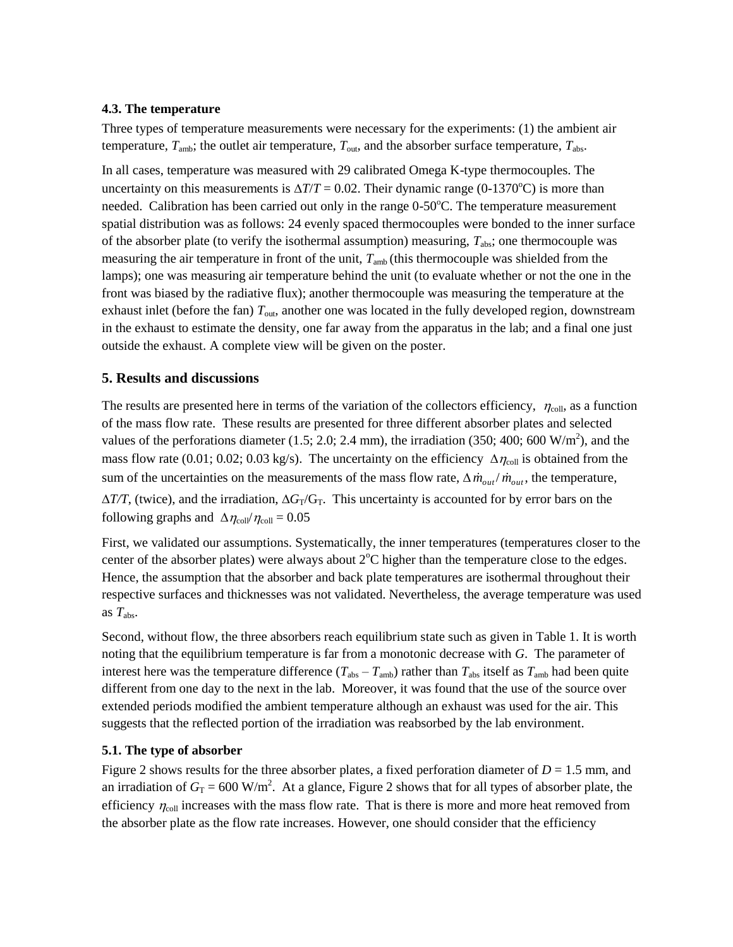#### **4.3. The temperature**

Three types of temperature measurements were necessary for the experiments: (1) the ambient air temperature,  $T_{amb}$ ; the outlet air temperature,  $T_{out}$ , and the absorber surface temperature,  $T_{abs}$ .

In all cases, temperature was measured with 29 calibrated Omega K-type thermocouples. The uncertainty on this measurements is  $\Delta T/T = 0.02$ . Their dynamic range (0-1370<sup>o</sup>C) is more than needed. Calibration has been carried out only in the range  $0-50^{\circ}$ C. The temperature measurement spatial distribution was as follows: 24 evenly spaced thermocouples were bonded to the inner surface of the absorber plate (to verify the isothermal assumption) measuring,  $T_{\text{abs}}$ ; one thermocouple was measuring the air temperature in front of the unit,  $T_{amb}$  (this thermocouple was shielded from the lamps); one was measuring air temperature behind the unit (to evaluate whether or not the one in the front was biased by the radiative flux); another thermocouple was measuring the temperature at the exhaust inlet (before the fan)  $T_{\text{out}}$ , another one was located in the fully developed region, downstream in the exhaust to estimate the density, one far away from the apparatus in the lab; and a final one just outside the exhaust. A complete view will be given on the poster.

# **5. Results and discussions**

The results are presented here in terms of the variation of the collectors efficiency,  $\eta_{\text{coll}}$ , as a function of the mass flow rate. These results are presented for three different absorber plates and selected values of the perforations diameter (1.5; 2.0; 2.4 mm), the irradiation (350; 400; 600 W/m<sup>2</sup>), and the mass flow rate (0.01; 0.02; 0.03 kg/s). The uncertainty on the efficiency  $\Delta \eta_{\text{coll}}$  is obtained from the sum of the uncertainties on the measurements of the mass flow rate,  $\Delta \dot{m}_{out}/\dot{m}_{out}$ , the temperature,  $\Delta T/T$ , (twice), and the irradiation,  $\Delta G_T/G_T$ . This uncertainty is accounted for by error bars on the following graphs and  $\Delta \eta_{\text{coll}}/\eta_{\text{coll}} = 0.05$ 

First, we validated our assumptions. Systematically, the inner temperatures (temperatures closer to the center of the absorber plates) were always about  $2^{\circ}C$  higher than the temperature close to the edges. Hence, the assumption that the absorber and back plate temperatures are isothermal throughout their respective surfaces and thicknesses was not validated. Nevertheless, the average temperature was used as  $T_{\text{abs}}$ .

Second, without flow, the three absorbers reach equilibrium state such as given in Table 1. It is worth noting that the equilibrium temperature is far from a monotonic decrease with *G*. The parameter of interest here was the temperature difference  $(T_{abs} - T_{amb})$  rather than  $T_{abs}$  itself as  $T_{amb}$  had been quite different from one day to the next in the lab. Moreover, it was found that the use of the source over extended periods modified the ambient temperature although an exhaust was used for the air. This suggests that the reflected portion of the irradiation was reabsorbed by the lab environment.

# **5.1. The type of absorber**

Figure 2 shows results for the three absorber plates, a fixed perforation diameter of  $D = 1.5$  mm, and an irradiation of  $G_T = 600 \text{ W/m}^2$ . At a glance, Figure 2 shows that for all types of absorber plate, the efficiency  $\eta_{\text{coll}}$  increases with the mass flow rate. That is there is more and more heat removed from the absorber plate as the flow rate increases. However, one should consider that the efficiency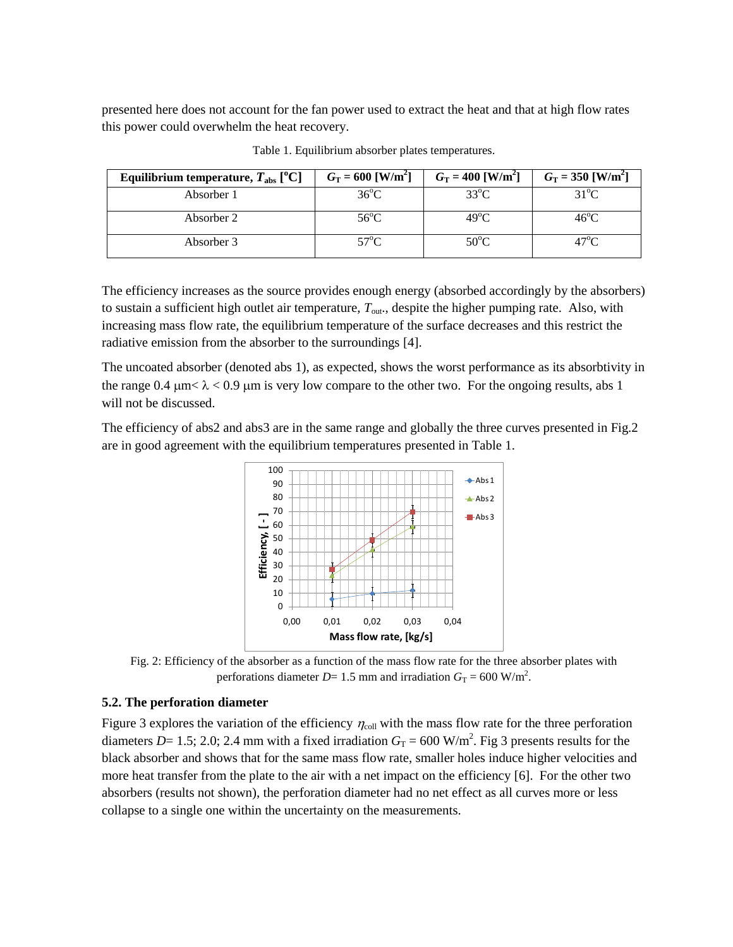presented here does not account for the fan power used to extract the heat and that at high flow rates this power could overwhelm the heat recovery.

| Equilibrium temperature, $T_{\text{abs}}$ [ <sup>o</sup> C] | $G_T = 600$ [W/m <sup>2</sup> ] | $G_T = 400$ [W/m <sup>2</sup> ] | $G_T = 350$ [W/m <sup>2</sup> ] |
|-------------------------------------------------------------|---------------------------------|---------------------------------|---------------------------------|
| Absorber 1                                                  | $36^{\circ}$ C                  | $33^{\circ}$ C                  | $31^{\circ}$ C                  |
| Absorber 2                                                  | $56^{\circ}$ C                  | $49^{\circ}$ C                  | $46^{\circ}$ C                  |
| Absorber 3                                                  | $57^{\circ}$ C.                 | $50^{\circ}$ C                  | 47°C.                           |

Table 1. Equilibrium absorber plates temperatures.

The efficiency increases as the source provides enough energy (absorbed accordingly by the absorbers) to sustain a sufficient high outlet air temperature, *T*out., despite the higher pumping rate. Also, with increasing mass flow rate, the equilibrium temperature of the surface decreases and this restrict the radiative emission from the absorber to the surroundings [4].

The uncoated absorber (denoted abs 1), as expected, shows the worst performance as its absorbtivity in the range  $0.4 \mu m < \lambda < 0.9 \mu m$  is very low compare to the other two. For the ongoing results, abs 1 will not be discussed.

The efficiency of abs2 and abs3 are in the same range and globally the three curves presented in Fig.2 are in good agreement with the equilibrium temperatures presented in Table 1.





#### **5.2. The perforation diameter**

Figure 3 explores the variation of the efficiency  $\eta_{\text{coll}}$  with the mass flow rate for the three perforation diameters  $D= 1.5$ ; 2.0; 2.4 mm with a fixed irradiation  $G_T = 600$  W/m<sup>2</sup>. Fig 3 presents results for the black absorber and shows that for the same mass flow rate, smaller holes induce higher velocities and more heat transfer from the plate to the air with a net impact on the efficiency [6]. For the other two absorbers (results not shown), the perforation diameter had no net effect as all curves more or less collapse to a single one within the uncertainty on the measurements.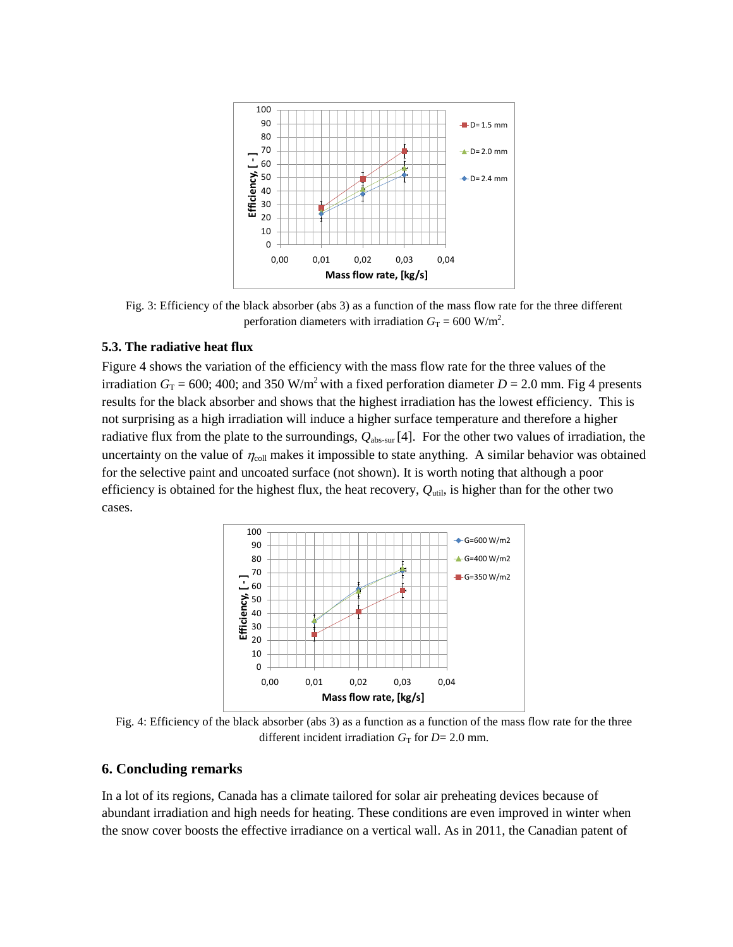

Fig. 3: Efficiency of the black absorber (abs 3) as a function of the mass flow rate for the three different perforation diameters with irradiation  $G_T = 600$  W/m<sup>2</sup>.

#### **5.3. The radiative heat flux**

Figure 4 shows the variation of the efficiency with the mass flow rate for the three values of the irradiation  $G_T = 600$ ; 400; and 350 W/m<sup>2</sup> with a fixed perforation diameter  $D = 2.0$  mm. Fig 4 presents results for the black absorber and shows that the highest irradiation has the lowest efficiency. This is not surprising as a high irradiation will induce a higher surface temperature and therefore a higher radiative flux from the plate to the surroundings, *Q*abs-sur [4]. For the other two values of irradiation, the uncertainty on the value of  $\eta_{coll}$  makes it impossible to state anything. A similar behavior was obtained for the selective paint and uncoated surface (not shown). It is worth noting that although a poor efficiency is obtained for the highest flux, the heat recovery,  $Q_{\text{util}}$ , is higher than for the other two cases.



Fig. 4: Efficiency of the black absorber (abs 3) as a function as a function of the mass flow rate for the three different incident irradiation  $G_T$  for  $D=2.0$  mm.

#### **6. Concluding remarks**

In a lot of its regions, Canada has a climate tailored for solar air preheating devices because of abundant irradiation and high needs for heating. These conditions are even improved in winter when the snow cover boosts the effective irradiance on a vertical wall. As in 2011, the Canadian patent of